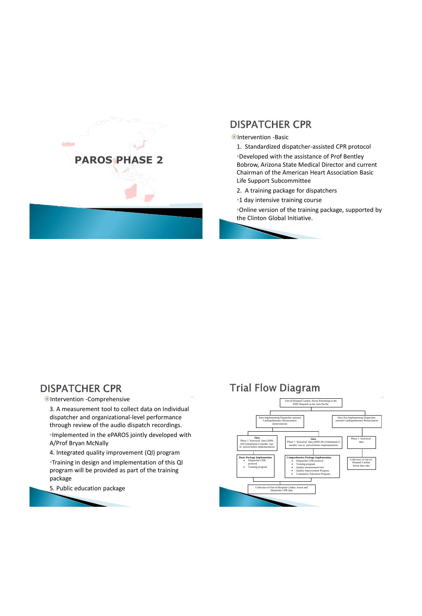

## **DISPATCHER CPR**

#### **Ontervention -Basic**

- 1. Standardized dispatcher-assisted CPR protocol •Developed with the assistance of Prof Bentley Bobrow, Arizona State Medical Director and current Chairman of the American Heart Association Basic
- Life Support Subcommittee 2. A training package for dispatchers
- •1 day intensive training course

•Online version of the training package, supported by the Clinton Global Initiative.

## **DISPATCHER CPR**

Intervention -Comprehensive

3. A measurement tool to collect data on Individual dispatcher and organizational-level performance through review of the audio dispatch recordings. •Implemented in the ePAROS jointly developed with A/Prof Bryan McNally

4. Integrated quality improvement (QI) program

•Training in design and implementation of this QI program will be provided as part of the training package

5. Public education package

# **Trial Flow Diagram**